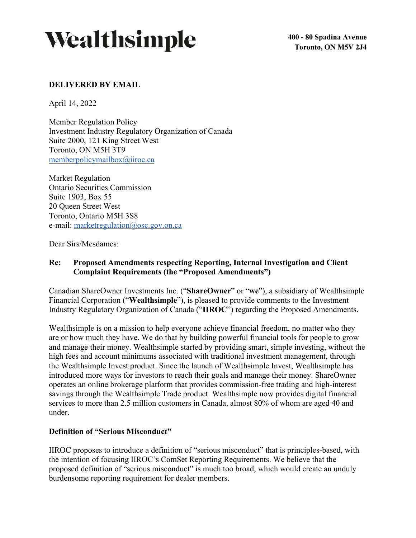

**400 - 80 Spadina Avenue Toronto, ON M5V 2J4**

## **DELIVERED BY EMAIL**

April 14, 2022

Member Regulation Policy Investment Industry Regulatory Organization of Canada Suite 2000, 121 King Street West Toronto, ON M5H 3T9 memberpolicymailbox@iiroc.ca

Market Regulation Ontario Securities Commission Suite 1903, Box 55 20 Queen Street West Toronto, Ontario M5H 3S8 e-mail: marketregulation@osc.gov.on.ca

Dear Sirs/Mesdames:

## **Re: Proposed Amendments respecting Reporting, Internal Investigation and Client Complaint Requirements (the "Proposed Amendments")**

Canadian ShareOwner Investments Inc. ("**ShareOwner**" or "**we**"), a subsidiary of Wealthsimple Financial Corporation ("**Wealthsimple**"), is pleased to provide comments to the Investment Industry Regulatory Organization of Canada ("**IIROC**") regarding the Proposed Amendments.

Wealthsimple is on a mission to help everyone achieve financial freedom, no matter who they are or how much they have. We do that by building powerful financial tools for people to grow and manage their money. Wealthsimple started by providing smart, simple investing, without the high fees and account minimums associated with traditional investment management, through the Wealthsimple Invest product. Since the launch of Wealthsimple Invest, Wealthsimple has introduced more ways for investors to reach their goals and manage their money. ShareOwner operates an online brokerage platform that provides commission-free trading and high-interest savings through the Wealthsimple Trade product. Wealthsimple now provides digital financial services to more than 2.5 million customers in Canada, almost 80% of whom are aged 40 and under.

### **Definition of "Serious Misconduct"**

IIROC proposes to introduce a definition of "serious misconduct" that is principles-based, with the intention of focusing IIROC's ComSet Reporting Requirements. We believe that the proposed definition of "serious misconduct" is much too broad, which would create an unduly burdensome reporting requirement for dealer members.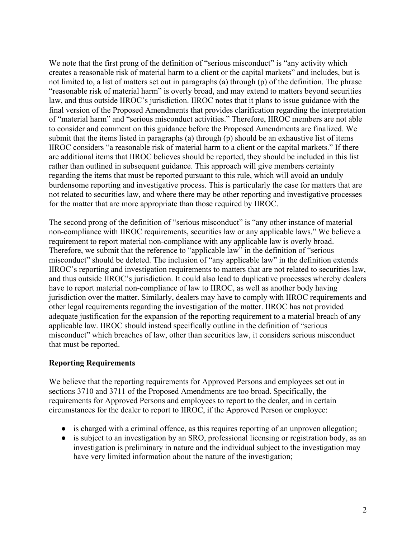We note that the first prong of the definition of "serious misconduct" is "any activity which creates a reasonable risk of material harm to a client or the capital markets" and includes, but is not limited to, a list of matters set out in paragraphs (a) through (p) of the definition. The phrase "reasonable risk of material harm" is overly broad, and may extend to matters beyond securities law, and thus outside IIROC's jurisdiction. IIROC notes that it plans to issue guidance with the final version of the Proposed Amendments that provides clarification regarding the interpretation of "material harm" and "serious misconduct activities." Therefore, IIROC members are not able to consider and comment on this guidance before the Proposed Amendments are finalized. We submit that the items listed in paragraphs (a) through (p) should be an exhaustive list of items IIROC considers "a reasonable risk of material harm to a client or the capital markets." If there are additional items that IIROC believes should be reported, they should be included in this list rather than outlined in subsequent guidance. This approach will give members certainty regarding the items that must be reported pursuant to this rule, which will avoid an unduly burdensome reporting and investigative process. This is particularly the case for matters that are not related to securities law, and where there may be other reporting and investigative processes for the matter that are more appropriate than those required by IIROC.

The second prong of the definition of "serious misconduct" is "any other instance of material non-compliance with IIROC requirements, securities law or any applicable laws." We believe a requirement to report material non-compliance with any applicable law is overly broad. Therefore, we submit that the reference to "applicable law" in the definition of "serious misconduct" should be deleted. The inclusion of "any applicable law" in the definition extends IIROC's reporting and investigation requirements to matters that are not related to securities law, and thus outside IIROC's jurisdiction. It could also lead to duplicative processes whereby dealers have to report material non-compliance of law to IIROC, as well as another body having jurisdiction over the matter. Similarly, dealers may have to comply with IIROC requirements and other legal requirements regarding the investigation of the matter. IIROC has not provided adequate justification for the expansion of the reporting requirement to a material breach of any applicable law. IIROC should instead specifically outline in the definition of "serious misconduct" which breaches of law, other than securities law, it considers serious misconduct that must be reported.

# **Reporting Requirements**

We believe that the reporting requirements for Approved Persons and employees set out in sections 3710 and 3711 of the Proposed Amendments are too broad. Specifically, the requirements for Approved Persons and employees to report to the dealer, and in certain circumstances for the dealer to report to IIROC, if the Approved Person or employee:

- is charged with a criminal offence, as this requires reporting of an unproven allegation;
- is subject to an investigation by an SRO, professional licensing or registration body, as an investigation is preliminary in nature and the individual subject to the investigation may have very limited information about the nature of the investigation;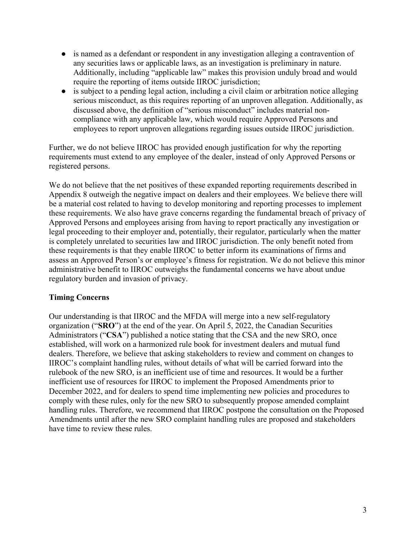- is named as a defendant or respondent in any investigation alleging a contravention of any securities laws or applicable laws, as an investigation is preliminary in nature. Additionally, including "applicable law" makes this provision unduly broad and would require the reporting of items outside IIROC jurisdiction;
- is subject to a pending legal action, including a civil claim or arbitration notice alleging serious misconduct, as this requires reporting of an unproven allegation. Additionally, as discussed above, the definition of "serious misconduct" includes material noncompliance with any applicable law, which would require Approved Persons and employees to report unproven allegations regarding issues outside IIROC jurisdiction.

Further, we do not believe IIROC has provided enough justification for why the reporting requirements must extend to any employee of the dealer, instead of only Approved Persons or registered persons.

We do not believe that the net positives of these expanded reporting requirements described in Appendix 8 outweigh the negative impact on dealers and their employees. We believe there will be a material cost related to having to develop monitoring and reporting processes to implement these requirements. We also have grave concerns regarding the fundamental breach of privacy of Approved Persons and employees arising from having to report practically any investigation or legal proceeding to their employer and, potentially, their regulator, particularly when the matter is completely unrelated to securities law and IIROC jurisdiction. The only benefit noted from these requirements is that they enable IIROC to better inform its examinations of firms and assess an Approved Person's or employee's fitness for registration. We do not believe this minor administrative benefit to IIROC outweighs the fundamental concerns we have about undue regulatory burden and invasion of privacy.

# **Timing Concerns**

Our understanding is that IIROC and the MFDA will merge into a new self-regulatory organization ("**SRO**") at the end of the year. On April 5, 2022, the Canadian Securities Administrators ("**CSA**") published a notice stating that the CSA and the new SRO, once established, will work on a harmonized rule book for investment dealers and mutual fund dealers. Therefore, we believe that asking stakeholders to review and comment on changes to IIROC's complaint handling rules, without details of what will be carried forward into the rulebook of the new SRO, is an inefficient use of time and resources. It would be a further inefficient use of resources for IIROC to implement the Proposed Amendments prior to December 2022, and for dealers to spend time implementing new policies and procedures to comply with these rules, only for the new SRO to subsequently propose amended complaint handling rules. Therefore, we recommend that IIROC postpone the consultation on the Proposed Amendments until after the new SRO complaint handling rules are proposed and stakeholders have time to review these rules.